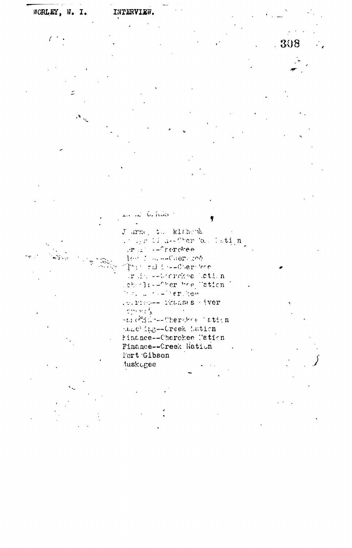## INTERVIEW. WORLEY, W. I.

 $\big($ 

 $\overline{\phantom{a}}$ ۶,

an Crimo ę Jarne, to klichenk

under bisk-Cher kolletin,<br>urbisk-frereke les four-Cherison This rule is -- Cherclere in in each riche betion cheris--Cheritre Tation The Committee had .c.rich-- Phanses (iver  $\mathbb{C}^{(1)}_{\mathbb{C}^{2}}\cong\mathbb{C}^{4}_{\mathbb{R}^{2}}$  $\sim$   $\sim$ -tic<sup>30</sup>dic--Cherchie lation tanc'ing--Creek hation Finance--Charckee Nation Finance--Creek Nation Fort Gibson

luskogee

308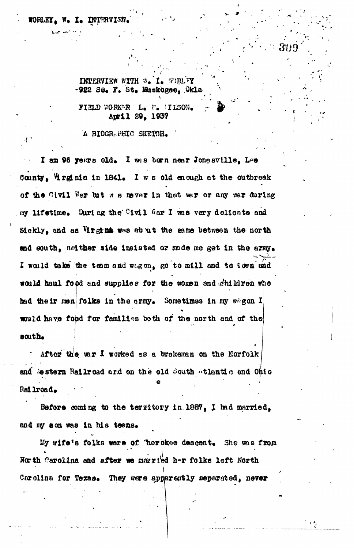## WORLEY, W. I. INTERVI

 $\cdot$  f  $\cdot$ 

INTERVIEW WITH W. I. WORLFY -922 Sú. F. St. Muskogee, Okla

FIELD WORKER L. W. HILSON. April 29, 1937

A BIOGRAPHIC SKETCH.

I am 96 years old. I was born near Jonesville, Lee County, Highnia in 1841. I we old enough at the outbreak of the Civil War but we never in that war or any war during my lifetime. During the Civil War I was very delicate and Sickly, and as Virgina was abut the same between the north and south, neither side insisted or made me get in the army. I would take the team and wagon, go to mill and to town and would haul food and supplies for the women and children who had their men folks in the ermy. Sometimes in my wagon I would have food for families both of the north and of the south.

After the war I worked as a brakeman on the Norfolk and Sestern Railroad and on the old South Atlantic and Ohio Rei lroad.

Before coming to the territory in 1887, I had married, and my son was in his teens.

My wife's folks were of herokee descent. She was from North Carolina and after we married her folks left North Carolina for Texas. They were apparently separated, never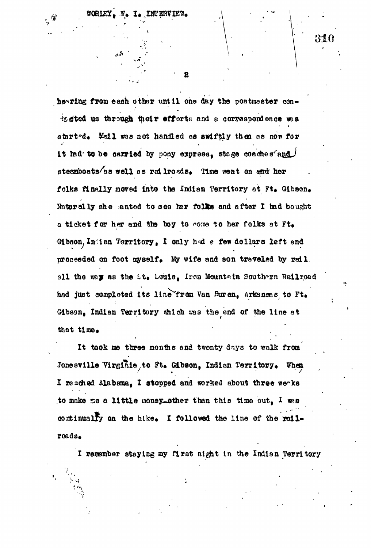$\mu$  is

*f*

**. •" ' 8 \_ •**

**•**  $\frac{1}{2}$   $\frac{310}{2}$   $\frac{310}{2}$ 

hearing from each other until one day the postmaster con ta sted us through their efforts and a correspondence was started. Mail was not handled as swiftly then as now for it had to be carried by pony express, stage coaches $'$ and steamboats/as well as railroads. Time went on and her folks finally moved into the Indian Territory at Ft. Gibson. Ifoturally she anted to see her folks and after X had bought a ticket for her and the boy to come to her folks at Ft. Gibson. Indian Territory, I only had a few dollars left and proceeded on foot myself. My wife and son traveled by rail, oll the way as the tt. Louis, Iron Mountain Southern Railroad had just completed its line from Van Buren, Arkansas to Ft. Gibson, Indian Territory shlch was the ond of the line at that time.

It took me three months and twenty days to walk from Jonesville Virginia to Ft. Gibson, Indian Territory. When I reached Alabama. I stopped and worked about three weaks to make se a little money-other than this time out,  $I$  was continually on the hike. I followed the line of the railroads.

**v**

 $\cdots$ 

I remember staying my first atght in the Indian Territory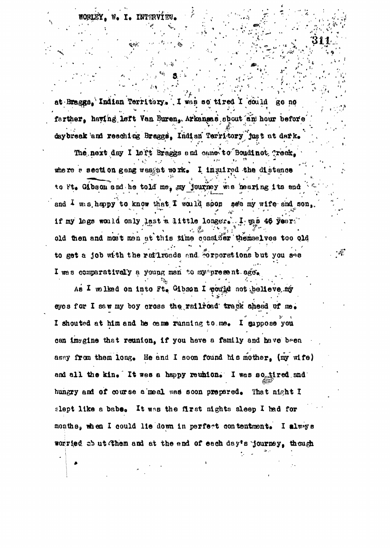I. INTERV

at Braggs, Indian Territory. I was so tired I dould go no farther, having left Van Buren, Arkansas shout an hour before daybreak and reaching Braggs, Indian Territory just at dark.

The next day I left Braggs and came to Boudinot Treek. where a section geng west to rk. I inquired the distence to Ft. Gibson and he told me, my journey was hearing its end and I wis heppy to know that I would soon see my wife and son, if my lags would only last a little longer. I gas 46 year. old then and most men at this time consider themselves too old to get a job with the raflroads and corporations but you see I was comparatively a young man to my present age.

فسينجو

As I wilked on into Ft. Gibson I poutd not pelleve my eyes for I saw my boy cross the railroad track chead of me. I shouted at him and he came running to me. I suppose you can imagine that reunion, if you have a family and have been away from them long. He and I soon found his mother. (my wife) and all the kin. It was a happy reuhion. I was so tired and hungry and of course a meal was soon prepared. That night I slept like a babe. It was the first nights sleep I had for months, when I could lie down in perfect contentment. I always worried ab ut (them and at the end of each day's 'journey, though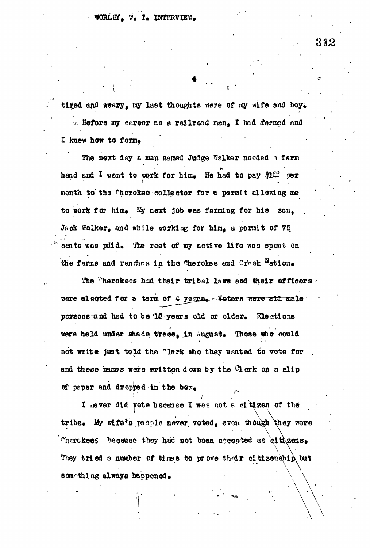## WORLEY. W. I. INTERVIEW.

tired and weary, my last thoughts were of my wife and boy. '. Before *my* career as a railroad man, I had farmed and I knew how to farm.

The next day a man named Judge Walker needed a farm hand and I went to work for him. He had to pay  $22$  per month to the Cherokee collector for a permit allowing me to work for him. My next job was farming for his son. Jack Walker, and while working for him, a permit of 75 cents was paid. The rest of my active life was spent on the farms and ranches in the Therokee and Oreck  $N_{\text{ation}}$ 

The Cherokees had their tribal laws and their officers. were elected for a term of 4 yeggs. Voters were all male persons-and had to be '18 years old or older. Elections were held under shade trees, in August. Those who could not write just told the "lerk who they wented to vote for and these names were written down by the  $@1$  erk on a slip of paper and dropped in the

**r I** ever did vote because I was not a citizen of the tribe. My wife's people never voted, even though they were cherokees because they had not been accepted as cityzens.  $\overline{\phantom{a}}$ They tried a number of times to prove that eltizenehip but something always happened.

312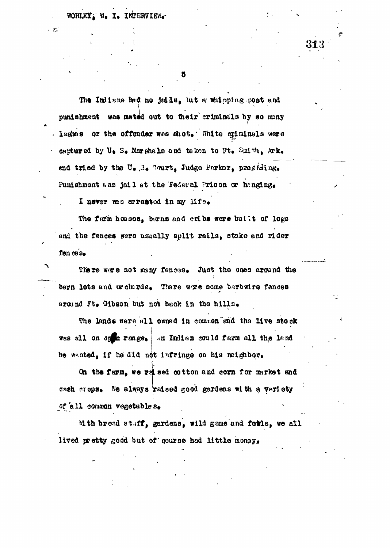WORLEY, W. I. INTERVIEW.

The Initens hed no jails, but a whipping post and punishment was meted out to their criminals by so many lashes or the offender was shot. White orininals were captured by U. S. Marshals and taken to Ft. Smith, Ark. and tried by the U. 3. Court, Judge Parker, presiding. Punishment was jail at the Federal Prison or hanging.

I never was arrested in my life.

The farm houses, barns and cribs were butlit of logs and the fences were usually split rails, stake and rider fen ces.

There were not many fences. Just the ones around the barn lots and wathrds. There were some berbwire fences around Ft. Gibson but not back in the hills.

 $\cdot$ .

The lands were all owned in common and the live stock was all on open reage. An Indian could farm all the land he wanted, if he did not infringe on his meighbor.

On the farm, we red sed cotton and corn for market and cash crops. We always raised good gardens with a variety of all common vegetables.

Mith bread stuff, gardens, wild game and forls, we all lived pretty good but of gourse had little money.

 $\sim 3\%$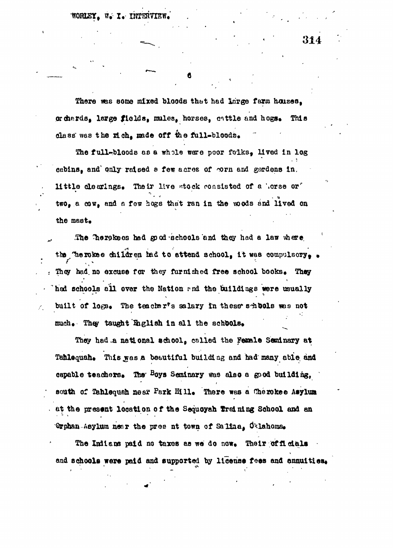WORLEY. W. I. INTERVIEW

31.

There was some mixed bloods that had large farm houses. or chards. large fields, mules, horses, cattle and hogs. This class was the rich, made off the full-bloods.

The full-bloods as a whole were poor folks, lived in log cabins, and only raised a few acres of orn and gardens in. little clearings. Their live stock consisted of a horse or two, a cow, and a few hogs that ran in the woods and lived on the mast.

The Therekees hed good schools and they had a law where the Therokee children had to attend school, it was compulsory. They had no excuse for they furnished free school books. They hed schools all over the Nation and the buildings were usually built of logs. The teacher's salary in these shuols was not much. They taught English in all the schools.

They had a national achool, called the Female Seminary at Tahlequah. This was a beautiful building and had many able and capable teachers. The <sup>B</sup>oys Seninary was also a good building, south of Tahlequah near Park Hill. There was a Cherokee Asylum at the present location of the Sequoyah Treining School and an Orphan-Asylum near the pres nt town of Salina, Oklahoma.

The Indians paid no taxes as we do now. Their officials and schools were paid and supported by license fees and annuities.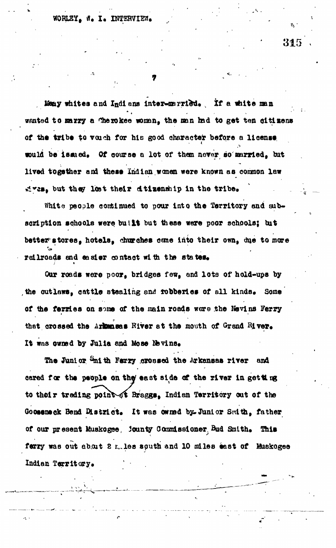Many whites and Indians inter-married. If a white man wanted to marry a Therokee woman, the man had to get ten citizens of the tribe to vouch for his good character before a license would be issued. Of course a lot of them never so married, but lived together and these Indian women were known as common law sives, but they lost their dtizenship in the tribe.

White people continued to pour into the Territory and subscription schools were butlit but these were poor schools; but better stores, hotels, churches came into their own, due to more railroads and easier contact with the states.

Our roads were poor, bridges few, and lots of hold-ups by the outlaws, cattle stealing and fobberies of all kinds. Some of the ferries on some of the main roads were the Nevins Ferry that crossed the Arkansas River at the mouth of Grand River. It was owned by Julia and Mose Nevins.

The Junior Emith Ferry crossed the Arkansas river and cared for the people on the east side of the river in getting to their trading point of Braggs. Indian Territory out of the Gooseneck Bend District. It was owned by Junior Smith, father of our present Muskogee, jounty Commissioner, Bud Smith. This ferry was out about 2 miles south and 10 miles east of Muskogee Indian Territory.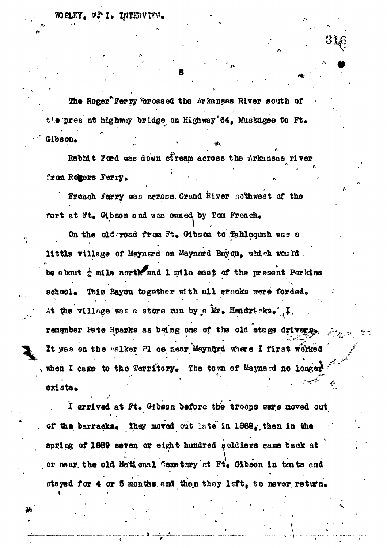The Roger Ferry 'crossed the Arkansas River south of the pres nt highway bridge on Highway'64, Muskdgee to Ft. Gibson.

Rabbit Ford was down stream across the Arkansas river from Romers Ferry.

French Ferry was across. Grend River nothwest of the fort at Ft. Gibson and was owned by Tom French.

On the old-road from Ft. Gibson to Tahlequah was a little village of Maynerd on Maynerd Bayou, which would. be about  $\frac{1}{4}$  mile north and 1 mile east of the present Perkins school. This Bayou together with all creeks were forded. At the village was a store min by a Mr. Hendricks. I. remember Pete Sparks as being one of the old stage drivers. It was on the "alker Pl ce near Mayndrd where I first worked when I came to the Territory. The town of Maynard no longer exists.

I arrived at Ft. Gibson before the troops were moved out of the barracks. They moved out late in 1888. then in the spring of 1889 seven or eight hundred soldiers came back at or mear the old National Cemetery at Ft. Gibson in tents and stayed for 4 or 5 months and then they left, to never return.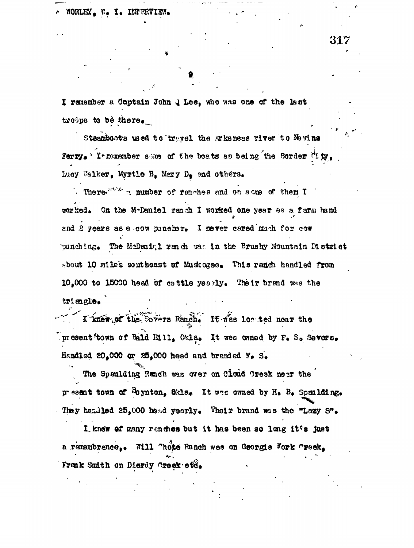WORLEY, W. I. INTERVIEW.

I remember a Captain John & Lee, who was one of the last  $tr\circ$ ps to be there.

Steamboats used to travel the Arkansas river to Nevins Ferry. I tremanber some of the boats as being the Border City. Lucy Walker, Myrtle B. Mary D. and others.

There  $e^{it^2/2}$  a number of fanches and on some of them I worked. On the M-Daniel ranch I worked one year as a farm hand and 2 years as a cow puncher. I never cared much for cow punching. The McDanigl ranch was in the Brushy Mountain District sbout 10 miles southeast of Muskagee. This ranch handled from 10,000 to 15000 head of cattle yearly. Their brand was the triengle.

I knew of the Severs Ranch. It was loc ted near the present town of Bald Hill, Okla. It was owned by F. S. Severs. Handled 20,000 or 25,000 head and branded F. S.

The Spaulding Ranch was over on Cloud Creek near the present town of <sup>B</sup>oynton, 6kla. It was owned by H. B. Spailding. They handled 25.000 hoad yearly. Their brand was the "Lazy S".

I knew of many ranches but it has been so long it's just a remembrance.. Will "hote Ranch was on Georgia Fork "reek. Frank Smith on Dierdy Creek otd.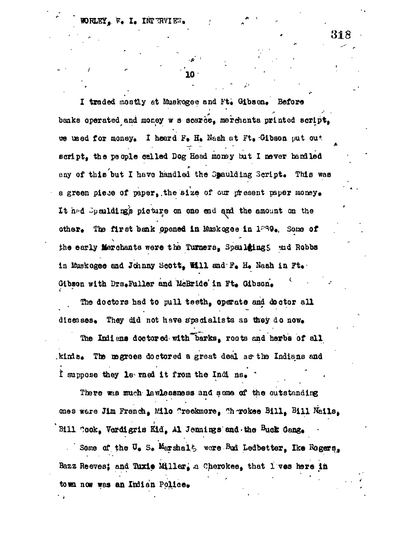318

I traded mostly at Muskogee and Ft. Gibson. Before banks operated and money w s scarce, merchants printed script. we used for money. I heard F. H. Nash at Ft. Gibson put out script, the people called Dog Head money but I never handled any of this but I have handled the Spaulding Script. This was a green piese of paper, the size of our present paper money. It had Speniding's picture on one end and the amount on the other. The first bank spened in Muskegee in 1839. Some of the early Merchants were the Turners, Spallsings and Robbs in Muskegee and Johnny Scott. Will and F. H. Nash in Ft. Gibson with Drs.Fuller and McBride'in Ft. Gibson.

The doctors had to pull teeth, operate and doctor all diseases. They did not have specialists as they do now.

The Indians doctored with barks, roots and herbs of all kimls. The megroes doctored a great deal as the Indians and I suppose they le rned it from the Indi ns.

There was much lawlessness and some of the outstanding ones were Jim French, Milo Creckmore, Chorokee Bill, Bill Nails, Bill Cook. Verdigris Kid. Al Jennings and the Buck Gang.

Some of the U. S. Marshalt were Bud Ledbetter. Ike Rogers. Bazz Reeves; and Tuxie Miller, a Cherokes, that l'ves here in town now was an Indian Police.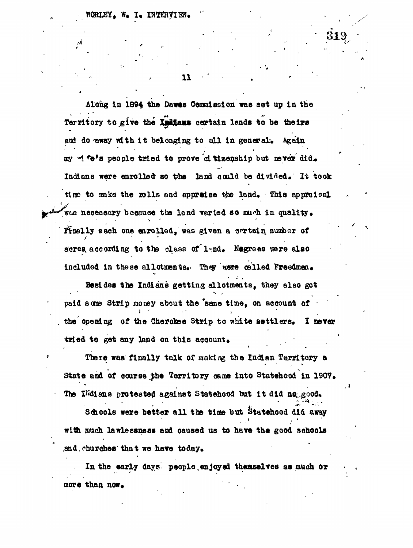**11 -**

Along in 1894 the Dawss Commission was set up in the Territory to give the Indians certain lands to be theirs and do away with it belonging to all in general. Again my wife's people tried to prove d tizenship but never did. Indians were enrolled so the land could be divided. It took time to make the rolls and appreise the land. This appraisel was necessary because the land varied so much in quality. **Finally each one enrolled, was given a certain number of** acres, according to the class of lend. Negroes were also included in these allotments. They were called Freedmen.

**' N**

**Besides the Indians getting allotments, they also got** paid some Strip money about the "same time, on account of the opening of the Cherokee Strip to white settlers. I never tried to get any land on this account.

**There was finally talk of making the Indian Territory a** State and of course the Territory came into Statehood in 1907. The INdiana protested against Statehood but it did no good.

Schools were better all the time but Statehood did away **with much lawlessness and oaused us to have the good schools** .and. churches that we have today.

**In the early days people, en joyed themselves as much or** more than now.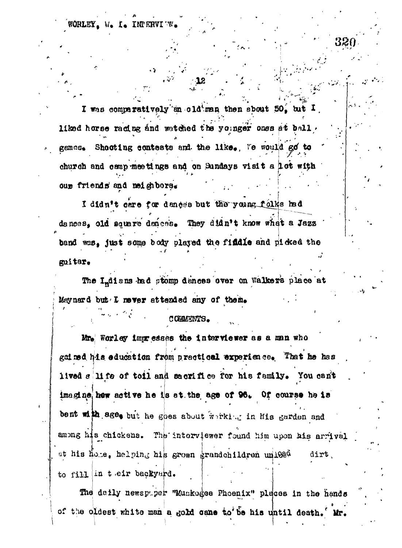**WORLEY, W. I. INTERVIES** 

۰

I was comparatively an oldiman then sbout 50, but I liked horse rading and watched the younger ones at ball. genes. Shooting contests and the like. Te would go to church and camp meetings and on Sundays visit a lot with oup friends and neighbors.

I didn't care for dances but the young folks had dances, old square dences. They didn't know what a Jazz band was, just some body played the findle and picked the guitar.

The Luisans had stomp denoes ever on Walkers place at Maynard but I never attended any of them.

## COMMENTS.

Mr. Worley impresses the interviewer as a man who geined his education from practical experience. That he has lived silife of toil and sacrifice for his family. You can't imagine, hew active he is at the age of 96. Of course he is bent with age, but he goes about working in his garden and among his chickens. The interviewer found him upon his arrival at his home, helping his grown grandchildren unl02<sup>d</sup> dirt. to fill in their backyard.

The daily newspaper "Muskogee Phoenix" pleces in the hands of the oldest white man a gold cane to be his until death. Mr.